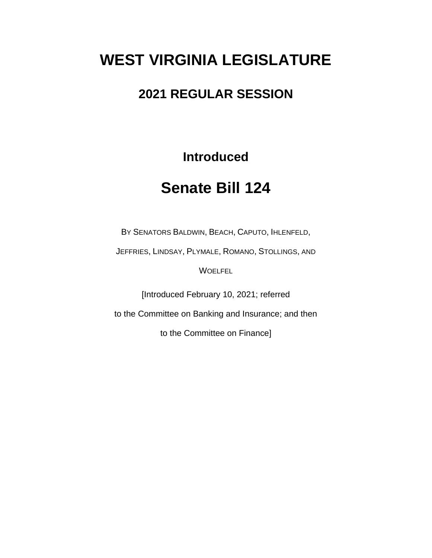# **WEST VIRGINIA LEGISLATURE**

### **2021 REGULAR SESSION**

**Introduced**

## **Senate Bill 124**

BY SENATORS BALDWIN, BEACH, CAPUTO, IHLENFELD,

JEFFRIES, LINDSAY, PLYMALE, ROMANO, STOLLINGS, AND

**WOELFEL** 

[Introduced February 10, 2021; referred

to the Committee on Banking and Insurance; and then

to the Committee on Finance]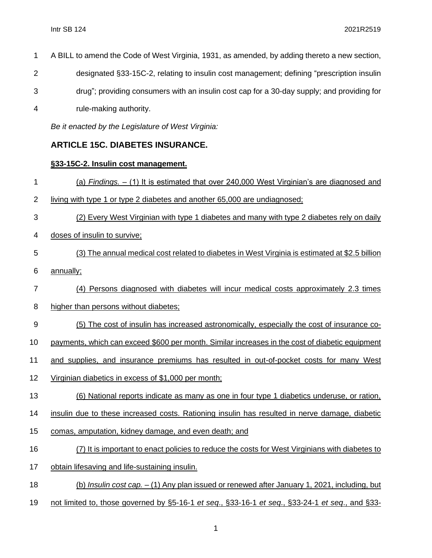- A BILL to amend the Code of West Virginia, 1931, as amended, by adding thereto a new section, designated §33-15C-2, relating to insulin cost management; defining "prescription insulin
- drug"; providing consumers with an insulin cost cap for a 30-day supply; and providing for
- rule-making authority.

*Be it enacted by the Legislature of West Virginia:*

### **ARTICLE 15C. DIABETES INSURANCE.**

#### **§33-15C-2. Insulin cost management.**

- (a) *Findings.*  (1) It is estimated that over 240,000 West Virginian's are diagnosed and living with type 1 or type 2 diabetes and another 65,000 are undiagnosed; (2) Every West Virginian with type 1 diabetes and many with type 2 diabetes rely on daily doses of insulin to survive; (3) The annual medical cost related to diabetes in West Virginia is estimated at \$2.5 billion annually; (4) Persons diagnosed with diabetes will incur medical costs approximately 2.3 times higher than persons without diabetes; (5) The cost of insulin has increased astronomically, especially the cost of insurance co- payments, which can exceed \$600 per month. Similar increases in the cost of diabetic equipment and supplies, and insurance premiums has resulted in out-of-pocket costs for many West Virginian diabetics in excess of \$1,000 per month; (6) National reports indicate as many as one in four type 1 diabetics underuse, or ration, insulin due to these increased costs. Rationing insulin has resulted in nerve damage, diabetic comas, amputation, kidney damage, and even death; and (7) It is important to enact policies to reduce the costs for West Virginians with diabetes to obtain lifesaving and life-sustaining insulin. (b) *Insulin cost cap. –* (1) Any plan issued or renewed after January 1, 2021, including, but
- not limited to, those governed by §5-16-1 *et seq*., §33-16-1 *et seq*., §33-24-1 *et seq*., and §33-